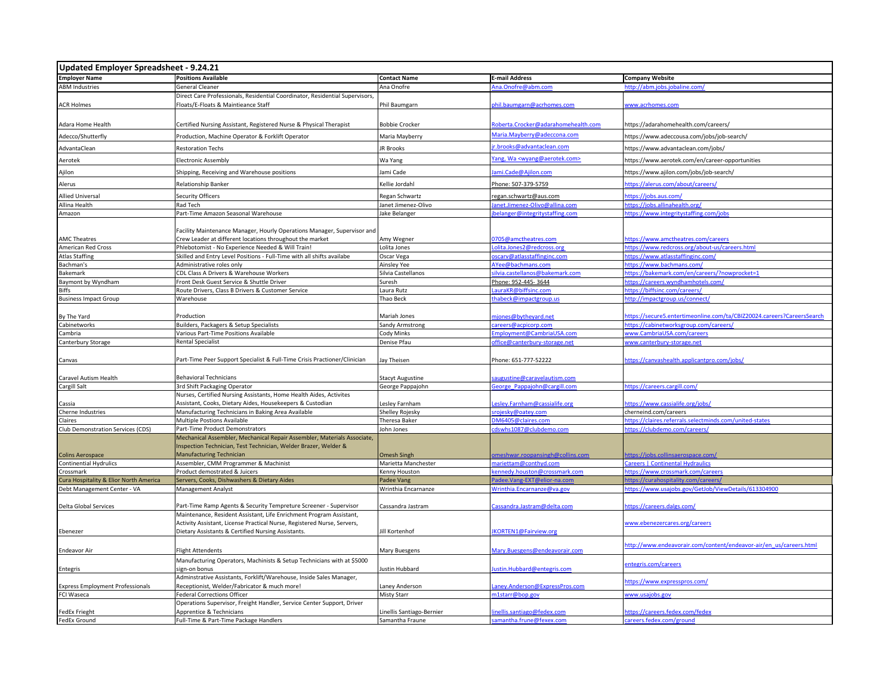| Updated Employer Spreadsheet - 9.24.21  |                                                                              |                                              |                                                        |                                                                        |
|-----------------------------------------|------------------------------------------------------------------------------|----------------------------------------------|--------------------------------------------------------|------------------------------------------------------------------------|
| <b>Employer Name</b>                    | <b>Positions Available</b>                                                   | <b>Contact Name</b>                          | <b>E-mail Address</b>                                  | <b>Company Website</b>                                                 |
| <b>ABM Industries</b>                   | <b>General Cleaner</b>                                                       | Ana Onofre                                   | na.Onofre@abm.com                                      | http://abm.jobs.jobaline.com/                                          |
|                                         | Direct Care Professionals, Residential Coordinator, Residential Supervisors, |                                              |                                                        |                                                                        |
| <b>ACR Holmes</b>                       | Floats/E-Floats & Maintieance Staff                                          | Phil Baumgarn                                | ohil.baumgarn@acrhomes.com                             | www.acrhomes.com                                                       |
|                                         |                                                                              |                                              |                                                        |                                                                        |
| Adara Home Health                       | Certified Nursing Assistant, Registered Nurse & Physical Therapist           | <b>Bobbie Crocker</b>                        | toberta.Crocker@adarahomehealth.com                    | https://adarahomehealth.com/careers/                                   |
| Adecco/Shutterfly                       | Production, Machine Operator & Forklift Operator                             | Maria Mayberry                               | Maria.Mayberry@adeccona.com                            | https://www.adeccousa.com/jobs/job-search/                             |
| AdvantaClean                            | <b>Restoration Techs</b>                                                     | <b>JR Brooks</b>                             | <u>r.brooks@advantaclean.com</u>                       | https://www.advantaclean.com/jobs/                                     |
|                                         |                                                                              |                                              | ang, Wa <wyang@aerotek.com></wyang@aerotek.com>        |                                                                        |
| Aerotek                                 | Electronic Assembly                                                          | Wa Yang                                      |                                                        | https://www.aerotek.com/en/career-opportunities                        |
| Ajilon                                  | Shipping, Receiving and Warehouse positions                                  | Jami Cade                                    | lami.Cade@Ajilon.com                                   | https://www.ajilon.com/jobs/job-search/                                |
| Alerus                                  | Relationship Banker                                                          | Kellie Jordahl                               | Phone: 507-379-5759                                    | https://alerus.com/about/careers/                                      |
| <b>Allied Universal</b>                 | Security Officers                                                            | Regan Schwartz                               | egan.schwartz@aus.com                                  | ttps://jobs.aus.com/                                                   |
| Allina Health                           | Rad Tech                                                                     | Janet Jimenez-Olivo                          | anet.Jimenez-Olivo@allina.com                          | https://jobs.allinahealth.org/                                         |
| Amazon                                  | Part-Time Amazon Seasonal Warehouse                                          | Jake Belanger                                | belanger@integritystaffing.com                         | https://www.integritystaffing.com/jobs                                 |
|                                         |                                                                              |                                              |                                                        |                                                                        |
|                                         | Facility Maintenance Manager, Hourly Operations Manager, Supervisor and      |                                              |                                                        |                                                                        |
| <b>AMC Theatres</b>                     | Crew Leader at different locations throughout the market                     | Amy Wegner                                   | 0705@amctheatres.com                                   | https://www.amctheatres.com/careers                                    |
| <b>American Red Cross</b>               | Phlebotomist - No Experience Needed & Will Train!                            | Lolita Jones                                 | Lolita.Jones2@redcross.org                             | https://www.redcross.org/about-us/careers.html                         |
| <b>Atlas Staffing</b>                   | Skilled and Entry Level Positions - Full-Time with all shifts availabe       | Oscar Vega                                   | scarv@atlasstaffinginc.com                             | https://www.atlasstaffinginc.com/                                      |
| Bachman's                               | Administrative roles only                                                    | Ainsley Yee                                  | AYee@bachmans.com                                      | https://www.bachmans.com/                                              |
| Bakemark                                | CDL Class A Drivers & Warehouse Workers                                      | Silvia Castellanos                           | silvia.castellanos@bakemark.com                        | https://bakemark.com/en/careers/?nowprocket=1                          |
| Baymont by Wyndham                      | Front Desk Guest Service & Shuttle Driver                                    | Suresh                                       | Phone: 952-445-3644                                    | https://careers.wyndhamhotels.com,                                     |
| Biffs                                   | Route Drivers, Class B Drivers & Customer Service                            | Laura Rutz                                   | auraKR@biffsinc.com                                    | https://biffsinc.com/careers/                                          |
| <b>Business Impact Group</b>            | Warehouse                                                                    | Thao Beck                                    | habeck@impactgroup.us                                  | http://impactgroup.us/connect/                                         |
| By The Yard                             | Production                                                                   | Mariah Jones                                 | njones@bytheyard.net                                   | https://secure5.entertimeonline.com/ta/CBIZ20024.careers?CareersSearch |
| Cabinetworks                            | Builders, Packagers & Setup Specialists                                      | Sandy Armstrong                              | areers@acpicorp.com                                    | https://cabinetworksgroup.com/careers/                                 |
| Cambria                                 | Various Part-Time Positions Available                                        | Cody Minks                                   | Employment@CambriaUSA.com                              | www.CambriaUSA.com/careers                                             |
| Canterbury Storage                      | Rental Specialist                                                            | Denise Pfau                                  | office@canterbury-storage.net                          | www.canterbury-storage.net                                             |
|                                         |                                                                              |                                              |                                                        |                                                                        |
| Canvas                                  | Part-Time Peer Support Specialist & Full-Time Crisis Practioner/Clinician    | Jay Theisen                                  | Phone: 651-777-52222                                   | https://canvashealth.applicantpro.com/jobs/                            |
|                                         |                                                                              |                                              |                                                        |                                                                        |
| Caravel Autism Health                   | <b>Behavioral Technicians</b>                                                | <b>Stacyt Augustine</b>                      | augustine@caravelautism.com                            |                                                                        |
| Cargill Salt                            | 3rd Shift Packaging Operator                                                 | George Pappajohn                             | George Pappajohn@cargill.com                           | https://careers.cargill.com/                                           |
|                                         | Nurses, Certified Nursing Assistants, Home Health Aides, Activites           |                                              |                                                        |                                                                        |
| Cassia                                  | Assistant, Cooks, Dietary Aides, Housekeepers & Custodian                    | esley Farnham                                | esley.Farnham@cassialife.org                           | https://www.cassialife.org/jobs/                                       |
| Cherne Industries                       | Manufacturing Technicians in Baking Area Available                           | Shelley Rojesky                              | rojesky@oatey.com                                      | cherneind.com/careers                                                  |
| Claires                                 | Multiple Postions Available                                                  | <b>Theresa Baker</b>                         | OM6405@claires.com                                     | https://claires.referrals.selectminds.com/united-states                |
| Club Demonstration Services (CDS)       | Part-Time Product Demonstrators                                              | John Jones                                   | cdswhs1087@clubdemo.com                                | https://clubdemo.com/careers/                                          |
|                                         | Mechanical Assembler, Mechanical Repair Assembler, Materials Associate,      |                                              |                                                        |                                                                        |
|                                         | Inspection Technician, Test Technician, Welder Brazer, Welder &              |                                              |                                                        |                                                                        |
| <b>Colins Aerospace</b>                 | <b>Manufacturing Technician</b>                                              | <b>Omesh Singh</b>                           | meshwar.roopansingh@collins.com                        | https://jobs.collinsaerospace.com/                                     |
| <b>Continential Hydrulics</b>           | Assembler, CMM Programmer & Machinist                                        | Marietta Manchester                          | nariettam@conthyd.com                                  | Careers   Continental Hydraulic                                        |
| Crossmark                               | Product demostrated & Juicers                                                | Kenny Houston                                | ennedy.houston@crossmark.com                           | https://www.crossmark.com/careers                                      |
| Cura Hospitality & Elior North America  | Servers, Cooks, Dishwashers & Dietary Aides                                  | Padee Vang                                   | Padee.Vang-EXT@elior-na.com                            | https://curahospitality.com/careers/                                   |
| Debt Management Center - VA             | Management Analyst                                                           | Wrinthia Encarnanze                          | Wrinthia. Encarnanze@va.gov                            | https://www.usajobs.gov/GetJob/ViewDetails/613304900                   |
|                                         |                                                                              |                                              |                                                        |                                                                        |
| Delta Global Services                   | Part-Time Ramp Agents & Security Tempreture Screener - Supervisor            | Cassandra Jastram                            | Cassandra.Jastram@delta.com                            | https://careers.dalgs.com/                                             |
|                                         | Maintenance, Resident Assistant, Life Enrichment Program Assistant,          |                                              |                                                        |                                                                        |
|                                         | Activity Assistant, License Practical Nurse, Registered Nurse, Servers,      |                                              |                                                        | www.ebenezercares.org/careers                                          |
| Ebenezer                                | Dietary Assistants & Certified Nursing Assistants.                           | Jill Kortenhof                               | <b>KORTEN1@Fairview.org</b>                            |                                                                        |
|                                         |                                                                              |                                              |                                                        | http://www.endeavorair.com/content/endeavor-air/en_us/careers.html     |
| Endeavor Air                            | Flight Attendents                                                            | Mary Buesgens                                | Mary.Buesgens@endeavorair.com                          |                                                                        |
|                                         | Manufacturing Operators, Machinists & Setup Technicians with at \$5000       |                                              |                                                        | entegris.com/careers                                                   |
| <b>Entegris</b>                         | sign-on bonus                                                                | lustin Hubbard                               | ustin.Hubbard@entegris.com                             |                                                                        |
|                                         | Adminstrative Assistants, Forklift/Warehouse, Inside Sales Manager,          |                                              |                                                        | https://www.expresspros.com/                                           |
| <b>Express Employment Professionals</b> | Receptionist, Welder/Fabricator & much more!                                 | Laney Anderson                               | Laney.Anderson@ExpressPros.com                         |                                                                        |
| FCI Waseca                              | ederal Corrections Officer                                                   | <b>Misty Starr</b>                           | m1starr@bop.gov                                        | www.usajobs.gov                                                        |
|                                         | Operations Supervisor, Freight Handler, Service Center Support, Driver       |                                              |                                                        |                                                                        |
| <b>FedEx Frieght</b><br>FedEx Ground    | Apprentice & Technicians<br>Full-Time & Part-Time Package Handlers           | Linellis Santiago-Bernier<br>Samantha Fraune | inellis.santiago@fedex.com<br>samantha.frune@fexex.com | https://careers.fedex.com/fedex<br>careers.fedex.com/ground            |
|                                         |                                                                              |                                              |                                                        |                                                                        |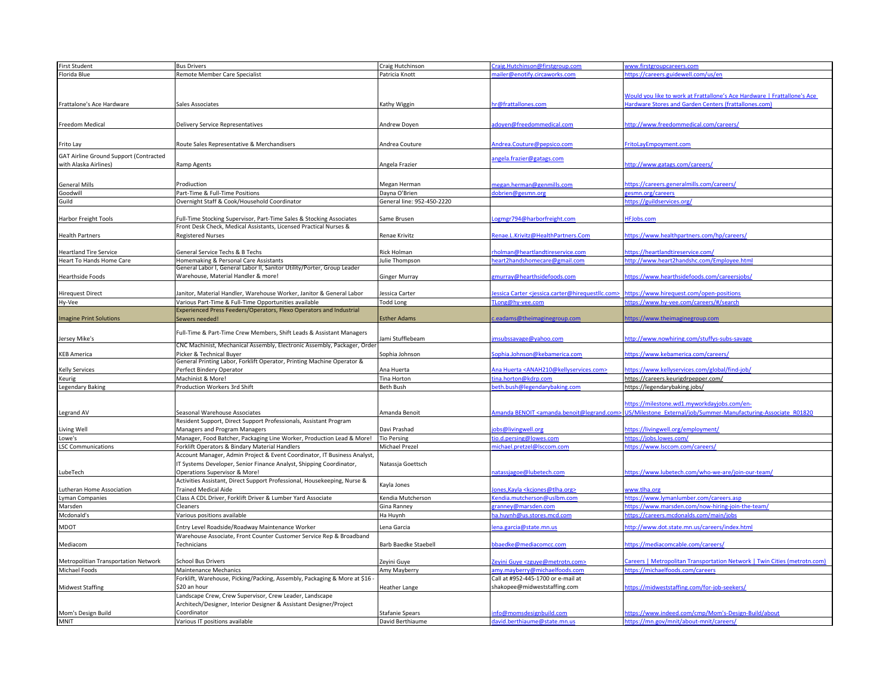| <b>First Student</b>                   | <b>Bus Drivers</b>                                                                                                            | Craig Hutchinson            | Craig.Hutchinson@firstgroup.com                                                   | www.firstgroupcareers.com                                                 |
|----------------------------------------|-------------------------------------------------------------------------------------------------------------------------------|-----------------------------|-----------------------------------------------------------------------------------|---------------------------------------------------------------------------|
| Florida Blue                           | Remote Member Care Specialist                                                                                                 | Patricia Knott              | nailer@enotify.circaworks.com                                                     | https://careers.guidewell.com/us/en                                       |
|                                        |                                                                                                                               |                             |                                                                                   |                                                                           |
|                                        |                                                                                                                               |                             |                                                                                   |                                                                           |
|                                        |                                                                                                                               |                             |                                                                                   | Would you like to work at Frattallone's Ace Hardware   Frattallone's Ace  |
| Frattalone's Ace Hardware              | Sales Associates                                                                                                              | Kathy Wiggin                | or@frattallones.com                                                               | Hardware Stores and Garden Centers (frattallones.com)                     |
|                                        |                                                                                                                               |                             |                                                                                   |                                                                           |
| Freedom Medical                        | <b>Delivery Service Representatives</b>                                                                                       | Andrew Doyen                | doyen@freedommedical.com                                                          | http://www.freedommedical.com/careers/                                    |
|                                        |                                                                                                                               |                             |                                                                                   |                                                                           |
|                                        |                                                                                                                               |                             |                                                                                   |                                                                           |
| Frito Lay                              | Route Sales Representative & Merchandisers                                                                                    | Andrea Couture              | Andrea.Couture@pepsico.com                                                        | FritoLayEmpoyment.com                                                     |
| GAT Airline Ground Support (Contracted |                                                                                                                               |                             | angela.frazier@gatags.com                                                         |                                                                           |
| with Alaska Airlines)                  | Ramp Agents                                                                                                                   | Angela Frazier              |                                                                                   | http://www.gatags.com/careers/                                            |
|                                        |                                                                                                                               |                             |                                                                                   |                                                                           |
| <b>General Mills</b>                   | Prodiuction                                                                                                                   | Megan Herman                | negan.herman@genmills.com                                                         | https://careers.generalmills.com/careers/                                 |
| Goodwill                               | Part-Time & Full-Time Positions                                                                                               | Dayna O'Brien               | obrien@gesmn.org                                                                  | gesmn.org/careers                                                         |
| Guild                                  | Overnight Staff & Cook/Household Coordinator                                                                                  | General line: 952-450-2220  |                                                                                   | https://guildservices.org/                                                |
|                                        |                                                                                                                               |                             |                                                                                   |                                                                           |
| Harbor Freight Tools                   | Full-Time Stocking Supervisor, Part-Time Sales & Stocking Associates                                                          | Same Brusen                 | ogmgr794@harborfreight.com                                                        | <b>IFJobs.com</b>                                                         |
|                                        | Front Desk Check, Medical Assistants, Licensed Practical Nurses &                                                             |                             |                                                                                   |                                                                           |
| <b>Health Partners</b>                 | <b>Registered Nurses</b>                                                                                                      | Renae Krivitz               | Renae.L.Krivitz@HealthPartners.Com                                                | https://www.healthpartners.com/hp/careers/                                |
|                                        |                                                                                                                               |                             |                                                                                   |                                                                           |
| <b>Heartland Tire Service</b>          | General Service Techs & B Techs                                                                                               | Rick Holman                 | holman@heartlandtireservice.com                                                   | https://heartlandtireservice.com/                                         |
|                                        | Homemaking & Personal Care Assistants                                                                                         |                             |                                                                                   |                                                                           |
| leart To Hands Home Care               | General Labor I, General Labor II, Sanitor Utility/Porter, Group Leader                                                       | Julie Thompson              | eart2handshomecare@gmail.com                                                      | http://www.heart2handshc.com/Employee.html                                |
| <b>Hearthside Foods</b>                | Warehouse, Material Handler & more!                                                                                           | Ginger Murray               | zmurray@hearthsidefoods.com                                                       | https://www.hearthsidefoods.com/careersjobs/                              |
|                                        |                                                                                                                               |                             |                                                                                   |                                                                           |
|                                        |                                                                                                                               | Jessica Carter              | essica Carter <jessica.carter@hirequestllc.com></jessica.carter@hirequestllc.com> | https://www.hirequest.com/open-positions                                  |
| Hirequest Direct                       | Janitor, Material Handler, Warehouse Worker, Janitor & General Labor<br>Various Part-Time & Full-Time Opportunities available | <b>Todd Long</b>            |                                                                                   | https://www.hy-vee.com/careers/#/search                                   |
| Hy-Vee                                 |                                                                                                                               |                             | TLong@hy-vee.com                                                                  |                                                                           |
| <b>Imagine Print Solutions</b>         | Experienced Press Feeders/Operators, Flexo Operators and Industrial                                                           |                             |                                                                                   | ittps://www.theimaginegroup.com                                           |
|                                        | Sewers needed!                                                                                                                | <b>Esther Adams</b>         | .eadams@theimaginegroup.com                                                       |                                                                           |
|                                        | Full-Time & Part-Time Crew Members, Shift Leads & Assistant Managers                                                          |                             |                                                                                   |                                                                           |
| Jersey Mike's                          |                                                                                                                               | Jami Stufflebeam            | nsubssavage@yahoo.com                                                             | http://www.nowhiring.com/stuffys-subs-savage                              |
|                                        | CNC Machinist, Mechanical Assembly, Electronic Assembly, Packager, Order                                                      |                             |                                                                                   |                                                                           |
| <b>KEB America</b>                     | Picker & Technical Buyer                                                                                                      | Sophia Johnson              | ophia.Johnson@kebamerica.com                                                      | https://www.kebamerica.com/careers/                                       |
|                                        | General Printing Labor, Forklift Operator, Printing Machine Operator &                                                        |                             |                                                                                   |                                                                           |
| Kelly Services                         | Perfect Bindery Operator                                                                                                      | Ana Huerta                  | Ana Huerta <anah210@kellyservices.com></anah210@kellyservices.com>                | https://www.kellyservices.com/global/find-job/                            |
| Keurig                                 | Machinist & More!                                                                                                             | Tina Horton                 | ina.horton@kdrp.com                                                               | https://careers.keurigdrpepper.com/                                       |
| Legendary Baking                       | Production Workers 3rd Shift                                                                                                  | Beth Bush                   | eth.bush@legendarybaking.com                                                      | https://legendarybaking.jobs/                                             |
|                                        |                                                                                                                               |                             |                                                                                   |                                                                           |
|                                        |                                                                                                                               |                             |                                                                                   | https://milestone.wd1.myworkdayjobs.com/en-                               |
| Legrand AV                             | Seasonal Warehouse Associates                                                                                                 | Amanda Benoit               | Amanda BENOIT <amanda.benoit@legrand.com></amanda.benoit@legrand.com>             | US/Milestone External/job/Summer-Manufacturing-Associate R01820           |
|                                        | Resident Support, Direct Support Professionals, Assistant Program                                                             |                             |                                                                                   |                                                                           |
| Living Well                            | Managers and Program Managers                                                                                                 | Davi Prashad                | bs@livingwell.org                                                                 | https://livingwell.org/employment/                                        |
| Lowe's                                 | Manager, Food Batcher, Packaging Line Worker, Production Lead & More!                                                         | <b>Tio Persing</b>          | io.d.persing@lowes.com                                                            | https://jobs.lowes.com/                                                   |
| <b>LSC Communications</b>              | Forklift Operators & Bindary Material Handlers                                                                                | Michael Prezel              | nichael.pretzel@lsccom.com                                                        | https://www.lsccom.com/careers/                                           |
|                                        | Account Manager, Admin Project & Event Coordinator, IT Business Analyst,                                                      |                             |                                                                                   |                                                                           |
|                                        | IT Systems Developer, Senior Finance Analyst, Shipping Coordinator,                                                           | Natassja Goettsch           |                                                                                   |                                                                           |
| LubeTech                               | Operations Supervisor & More!                                                                                                 |                             | natassjagoe@lubetech.com                                                          | https://www.lubetech.com/who-we-are/join-our-team/                        |
|                                        | Activities Assistant, Direct Support Professional, Housekeeping, Nurse &                                                      |                             |                                                                                   |                                                                           |
| utheran Home Association               | <b>Trained Medical Aide</b>                                                                                                   | Kayla Jones                 | ones, Kayla < kcjones@tlha.org>                                                   | ww.tlha.org                                                               |
| yman Companies                         | Class A CDL Driver, Forklift Driver & Lumber Yard Associate                                                                   | Kendia Mutcherson           | endia.mutcherson@uslbm.com                                                        | https://www.lymanlumber.com/careers.asp                                   |
| Marsden                                | Cleaners                                                                                                                      | Gina Ranney                 | granney@marsden.com                                                               | https://www.marsden.com/now-hiring-join-the-team/                         |
| Mcdonald's                             | Various positions available                                                                                                   | Ha Huynh                    | a.huynh@us.stores.mcd.com                                                         | https://careers.mcdonalds.com/main/jobs                                   |
|                                        |                                                                                                                               |                             |                                                                                   |                                                                           |
| MDOT                                   | Entry Level Roadside/Roadway Maintenance Worker                                                                               | Lena Garcia                 | ena.garcia@state.mn.us                                                            | http://www.dot.state.mn.us/careers/index.html                             |
|                                        | Warehouse Associate, Front Counter Customer Service Rep & Broadband                                                           |                             |                                                                                   |                                                                           |
| Mediacom                               | Technicians                                                                                                                   | <b>Barb Baedke Staebell</b> | baedke@mediacomcc.com                                                             | https://mediacomcable.com/careers/                                        |
|                                        |                                                                                                                               |                             |                                                                                   |                                                                           |
| Metropolitian Transportation Network   | <b>School Bus Drivers</b>                                                                                                     | Zeyini Guye                 | eyini Guye <zguye@metrotn.com></zguye@metrotn.com>                                | Careers   Metropolitan Transportation Network   Twin Cities (metrotn.com) |
| Michael Foods                          | Maintenance Mechanics                                                                                                         | Amy Mayberry                | my.mayberry@michaelfoods.com                                                      | https://michaelfoods.com/careers                                          |
|                                        | Forklift, Warehouse, Picking/Packing, Assembly, Packaging & More at \$16                                                      |                             | Call at #952-445-1700 or e-mail at                                                |                                                                           |
| <b>Midwest Staffing</b>                | \$20 an hour                                                                                                                  | <b>Heather Lange</b>        | shakopee@midweststaffing.com                                                      | https://midweststaffing.com/for-job-seekers/                              |
|                                        | Landscape Crew, Crew Supervisor, Crew Leader, Landscape                                                                       |                             |                                                                                   |                                                                           |
|                                        | Architech/Designer, Interior Designer & Assistant Designer/Project                                                            |                             |                                                                                   |                                                                           |
| Mom's Design Build                     | Coordinator                                                                                                                   | <b>Stafanie Spears</b>      | nfo@momsdesignbuild.com                                                           | https://www.indeed.com/cmp/Mom's-Design-Build/about                       |
| MNIT                                   | Various IT positions available                                                                                                | David Berthiaume            | david.berthiaume@state.mn.us                                                      | httns://mn.gov/mnit/ahout.mnit/                                           |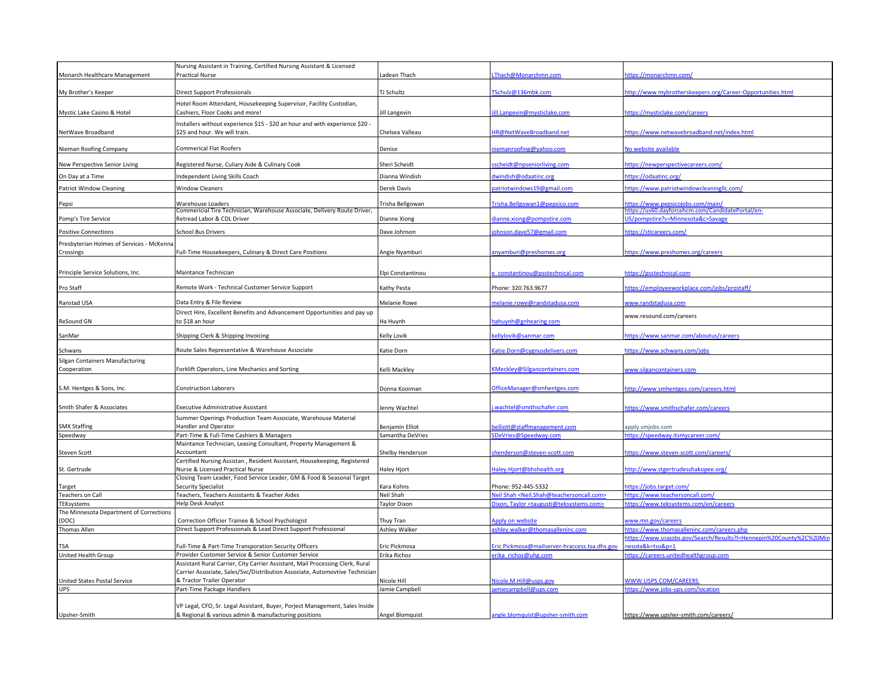|                                                        | Nursing Assistant in Training, Certified Nursing Assistant & Licensed                                     |                        |                                                                                                        |                                                                                       |
|--------------------------------------------------------|-----------------------------------------------------------------------------------------------------------|------------------------|--------------------------------------------------------------------------------------------------------|---------------------------------------------------------------------------------------|
| Monarch Healthcare Management                          | <b>Practical Nurse</b>                                                                                    | Ladean Thach           | Thach@Monarchmn.com                                                                                    | https://monarchmn.com/                                                                |
| My Brother's Keeper                                    | <b>Direct Support Professionals</b>                                                                       | TJ Schultz             | TSchulz@136mbk.com                                                                                     | http://www.mybrotherskeepers.org/Career-Opportunities.html                            |
|                                                        | Hotel Room Attendant, Housekeeping Supervisor, Facility Custodian,                                        |                        |                                                                                                        |                                                                                       |
| Mystic Lake Casino & Hotel                             | Cashiers, Floor Cooks and more!                                                                           | Jill Langevin          | ill.Langevin@mysticlake.com                                                                            | https://mysticlake.com/careers                                                        |
|                                                        | nstallers without experience \$15 - \$20 an hour and with experience \$20 .                               |                        |                                                                                                        |                                                                                       |
| NetWave Broadband                                      | \$25 and hour. We will train.                                                                             | Chelsea Valleau        | HR@NetWaveBroadband.net                                                                                | https://www.netwavebroadband.net/index.html                                           |
|                                                        |                                                                                                           |                        |                                                                                                        |                                                                                       |
| Nieman Roofing Company                                 | <b>Commerical Flat Roofers</b>                                                                            | Denise                 | iemanroofing@yahoo.com                                                                                 | <b>No website available</b>                                                           |
| New Perspective Senior Living                          | Registered Nurse, Culiary Aide & Culinary Cook                                                            | Sheri Scheidt          | scheidt@npseniorliving.com                                                                             | https://newperspectivecareers.com/                                                    |
| On Day at a Time                                       | ndependent Living Skills Coach                                                                            | Dianna Windish         | dwindish@odaatinc.org                                                                                  | ttps://odaatinc.org/                                                                  |
| <b>Patriot Window Cleaning</b>                         | Window Cleaners                                                                                           | Derek Davis            | atriotwindows19@gmail.com                                                                              | https://www.patriotwindowcleaningllc.com/                                             |
|                                                        |                                                                                                           |                        |                                                                                                        |                                                                                       |
| Pepsi                                                  | Warehouse Loaders<br>Commericial Tire Technician, Warehouse Associate, Delivery Route Driver,             | Trisha Bellgowan       | Trisha.Bellgowan1@pepsico.com                                                                          | https://www.pepsicojobs.com/main/<br>https://us60.d<br>itePortal/en-                  |
| Pomp's Tire Service                                    | Retread Labor & CDL Driver                                                                                | Dianne Xiong           | dianne.xiong@pompstire.com                                                                             | US/pompstire?s=Minnesota&c=Savage                                                     |
| <b>Positive Connections</b>                            | School Bus Drivers                                                                                        | Dave Johnson           | ohnson.dave57@gmail.com                                                                                | https://sticareers.com/                                                               |
|                                                        |                                                                                                           |                        |                                                                                                        |                                                                                       |
| Presbyterian Holmes of Services - McKenna<br>Crossings | Full-Time Housekeepers, Culinary & Direct Care Positions                                                  | Angie Nyamburi         | anyamburi@preshomes.org                                                                                | https://www.preshomes.org/careers                                                     |
|                                                        |                                                                                                           |                        |                                                                                                        |                                                                                       |
| Principle Service Solutions, Inc.                      | Maintance Technician                                                                                      | Elpi Constantinou      | constantinou@psstechnical.com                                                                          | https://psstechnical.com                                                              |
|                                                        |                                                                                                           |                        |                                                                                                        |                                                                                       |
| Pro Staff                                              | Remote Work - Technical Customer Service Support                                                          | Kathy Pesta            | Phone: 320.763.9677                                                                                    | https://employeeworkplace.com/jobs/prostaff/                                          |
| Ranstad USA                                            | Data Entry & File Review                                                                                  | <b>Melanie Rowe</b>    | nelanie.rowe@randstadusa.com                                                                           | www.randstadusa.com                                                                   |
|                                                        | Direct Hire, Excellent Benefits and Advancement Opportunities and pay up                                  |                        |                                                                                                        | www.resound.com/careers                                                               |
| ReSound GN                                             | to \$18 an hour                                                                                           | Ha Huynh               | ahuynh@gnhearing.com                                                                                   |                                                                                       |
| SanMar                                                 | Shipping Clerk & Shipping Invoicing                                                                       | Kelly Lovik            | ellylovik@sanmar.com                                                                                   | https://www.sanmar.com/aboutus/careers                                                |
| Schwans                                                | Route Sales Representative & Warehouse Associate                                                          | Katie Dorn             | atie.Dorn@cygnusdelivers.com                                                                           | https://www.schwans.com/jobs                                                          |
| Silgan Containers Manufacturing                        |                                                                                                           |                        |                                                                                                        |                                                                                       |
| Cooperation                                            | Forklift Operators, Line Mechanics and Sorting                                                            | Kelli Mackley          | <meckley@silgancontainers.com< td=""><td>www.silgancontainers.com</td></meckley@silgancontainers.com<> | www.silgancontainers.com                                                              |
|                                                        |                                                                                                           |                        |                                                                                                        |                                                                                       |
| S.M. Hentges & Sons, Inc.                              | <b>Construction Laborers</b>                                                                              | Donna Kooiman          | OfficeManager@smhentges.com                                                                            | http://www.smhentges.com/careers.html                                                 |
|                                                        |                                                                                                           |                        |                                                                                                        |                                                                                       |
| Smith Shafer & Associates                              | <b>Executive Administrative Assistant</b>                                                                 | Jenny Wachtel          | .wachtel@smithschafer.com                                                                              | https://www.smithschafer.com/careers                                                  |
| <b>SMX Staffing</b>                                    | Summer Openings Production Team Associate, Warehouse Material<br>Handler and Operator                     | <b>Benjamin Elliot</b> | elliott@staffmanagement.com                                                                            | apply.smjobs.com                                                                      |
| Speedway                                               | Part-Time & Full-Time Cashiers & Managers                                                                 | Samantha DeVries       | SDeVries@Speedway.com                                                                                  | https://speedway.itsmycareer.com/                                                     |
|                                                        | Maintance Technician, Leasing Consultant, Property Management &                                           |                        |                                                                                                        |                                                                                       |
| <b>Steven Scott</b>                                    | Accountant                                                                                                | Shelby Henderson       | shenderson@steven-scott.com                                                                            | https://www.steven-scott.com/careers/                                                 |
|                                                        | Certified Nursing Assistan, Resident Assistant, Housekeeping, Registered                                  |                        |                                                                                                        |                                                                                       |
| St. Gertrude                                           | Nurse & Licensed Practical Nurse<br>Closing Team Leader, Food Service Leader, GM & Food & Seasonal Target | Haley Hjort            | Haley.Hjort@bhshealth.org                                                                              | http://www.stgertrudesshakopee.org/                                                   |
| Target                                                 | <b>Security Specialist</b>                                                                                | Kara Kohns             | Phone: 952-445-5332                                                                                    | https://jobs.target.com/                                                              |
| <b>Teachers on Call</b>                                | Teachers, Teachers Assistants & Teacher Aides                                                             | Neil Shah              | leil Shah <neil.shah@teachersoncall.com></neil.shah@teachersoncall.com>                                | https://www.teachersoncall.com/                                                       |
| TEKsystems                                             | Help Desk Analyst                                                                                         | Taylor Dixon           | lixon, Taylor <taugusti@teksystems.com></taugusti@teksystems.com>                                      | https://www.teksystems.com/en/careers                                                 |
| The Minnesota Department of Corrections                |                                                                                                           |                        |                                                                                                        |                                                                                       |
| (DOC)                                                  | Correction Officier Trainee & School Psychologist                                                         | Thuy Tran              | pply on website                                                                                        | ww.mn.gov/careers                                                                     |
| <b>Thomas Allen</b>                                    | Direct Support Professionals & Lead Direct Support Professional                                           | <b>Ashley Walker</b>   | shley.walker@thomasalleninc.com                                                                        | https://www.thomasalleninc.com/careers.php                                            |
| <b>TSA</b>                                             | Full-Time & Part-Time Transporation Security Officers                                                     | Eric Pickmosa          | Eric.Pickmosa@mailserver-hraccess.tsa.dhs.gov                                                          | https://www.usajobs.gov/Search/Results?l=Hennepin%20County%2C%20Mi<br>esota&k=tso&p=1 |
| United Health Group                                    | Provider Customer Service & Senior Customer Service                                                       | Erika Richoz           | rika richoz@uhg.com                                                                                    | https://careers.unitedhealthgroup.com                                                 |
|                                                        | Assistant Rural Carrier, City Carrier Assistant, Mail Processing Clerk, Rural                             |                        |                                                                                                        |                                                                                       |
|                                                        | Carrier Associate, Sales/Svc/Distribution Associate, Automovtive Technician                               |                        |                                                                                                        |                                                                                       |
| United States Postal Service                           | & Tractor Trailer Operator                                                                                | Nicole Hill            | licole.M.Hill@usps.gov                                                                                 | WWW.USPS.COM/CAREERS                                                                  |
| <b>UPS</b>                                             | Part-Time Package Handlers                                                                                | Jamie Campbell         | imiecampbell@ups.com                                                                                   | https://www.jobs-ups.com/location                                                     |
|                                                        |                                                                                                           |                        |                                                                                                        |                                                                                       |
|                                                        | VP Legal, CFO, Sr. Legal Assistant, Buyer, Porject Management, Sales Inside                               |                        |                                                                                                        |                                                                                       |
| Upsher-Smith                                           | & Regional & various admin & manufacturing positions                                                      | Angel Blomquist        | angle.blomquist@upsher-smith.com                                                                       | https://www.upsher-smith.com/careers/                                                 |